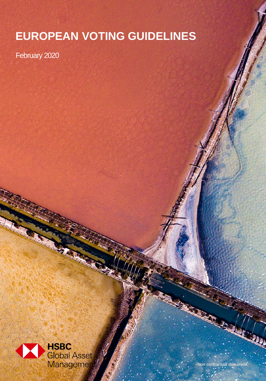# **EUROPEAN VOTING GUIDELINES**

February 2020



**Non contractual document** 

**contractuel**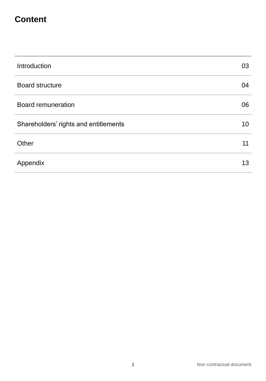# **Content**

| Introduction                          | 03 |
|---------------------------------------|----|
| <b>Board structure</b>                | 04 |
| <b>Board remuneration</b>             | 06 |
| Shareholders' rights and entitlements | 10 |
| Other                                 | 11 |
| Appendix                              | 13 |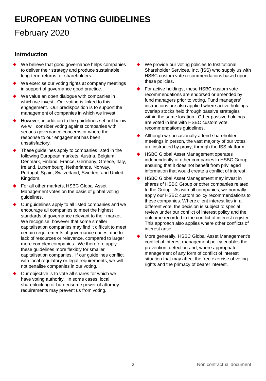# **EUROPEAN VOTING GUIDELINES**

# February 2020

# **Introduction**

- We believe that good governance helps companies to deliver their strategy and produce sustainable long-term returns for shareholders.
- We exercise our voting rights at company meetings in support of governance good practice.
- We value an open dialogue with companies in which we invest. Our voting is linked to this engagement. Our predisposition is to support the management of companies in which we invest.
- However, in addition to the guidelines set out below we will consider voting against companies with serious governance concerns or where the response to our engagement has been unsatisfactory.
- These guidelines apply to companies listed in the following European markets: Austria, Belgium, Denmark, Finland, France, Germany, Greece, Italy, Ireland, Luxembourg, Netherlands, Norway, Portugal, Spain, Switzerland, Sweden, and United Kingdom.
- For all other markets, HSBC Global Asset Management votes on the basis of global voting guidelines.
- Our guidelines apply to all listed companies and we encourage all companies to meet the highest standards of governance relevant to their market. We recognise, however that some smaller capitalisation companies may find it difficult to meet certain requirements of governance codes, due to lack of resources or relevance, compared to larger more complex companies. We therefore apply these guidelines more flexibly for smaller capitalisation companies. If our guidelines conflict with local regulatory or legal requirements, we will not penalise companies in our voting.
- Our objective is to vote all shares for which we have voting authority. In some cases, local shareblocking or burdensome power of attorney requirements may prevent us from voting.
- We provide our voting policies to Institutional Shareholder Services, Inc. (ISS) who supply us with HSBC custom vote recommendations based upon these policies.
- For active holdings, these HSBC custom vote recommendations are endorsed or amended by fund managers prior to voting. Fund managers' instructions are also applied where active holdings overlap stocks held through passive strategies within the same location. Other passive holdings are voted in line with HSBC custom vote recommendations guidelines.
- Although we occasionally attend shareholder meetings in person, the vast majority of our votes are instructed by proxy, through the ISS platform.
- HSBC Global Asset Management operates independently of other companies in HSBC Group, ensuring that it does not benefit from privileged information that would create a conflict of interest.
- HSBC Global Asset Management may invest in shares of HSBC Group or other companies related to the Group. As with all companies, we normally apply our HSBC custom policy recommendations to these companies. Where client interest lies in a different vote, the decision is subject to special review under our conflict of interest policy and the outcome recorded in the conflict of interest register. This approach also applies where other conflicts of interest arise.
- More generally, HSBC Global Asset Management's conflict of interest management policy enables the prevention, detection and, where appropriate, management of any form of conflict of interest situation that may affect the free exercise of voting rights and the primacy of bearer interest.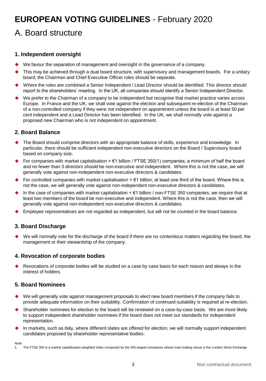# A. Board structure

## **1. Independent oversight**

- We favour the separation of management and oversight in the governance of a company.
- This may be achieved through a dual board structure, with supervisory and management boards. For a unitary board, the Chairman and Chief Executive Officer roles should be separate.
- Where the roles are combined a Senior Independent / Lead Director should be identified. This director should report to the shareholders' meeting. In the UK, all companies should identify a Senior Independent Director.
- We prefer to the Chairman of a company to be independent but recognise that market practice varies across Europe. In France and the UK, we shall vote against the election and subsequent re-election of the Chairman of a non-controlled company if they were not independent on appointment unless the board is at least 50 per cent independent and a Lead Director has been identified. In the UK, we shall normally vote against a proposed new Chairman who is not independent on appointment.

## **2. Board Balance**

- The Board should comprise directors with an appropriate balance of skills, experience and knowledge. In particular, there should be sufficient independent non-executive directors on the Board / Supervisory board based on company size.
- For companies with market capitalisation  $> \epsilon$ 1 billion / FTSE 350(1) companies, a minimum of half the board and no fewer than 3 directors should be non-executive and independent. Where this is not the case, we will generally vote against non-independent non-executive directors & candidates.
- For controlled companies with market capitalisation  $\geq \epsilon$ 1 billion, at least one third of the board. Where this is not the case, we will generally vote against non-independent non-executive directors & candidates.
- In the case of companies with market capitalisation < €1 billion / non-FTSE 350 companies, we require that at least two members of the board be non-executive and independent. Where this is not the case, then we will generally vote against non-independent non-executive directors & candidates.
- Employee representatives are not regarded as independent, but will not be counted in the board balance.

# **3. Board Discharge**

 We will normally vote for the discharge of the board if there are no contentious matters regarding the board, the management or their stewardship of the company.

## **4. Revocation of corporate bodies**

 Revocations of corporate bodies will be studied on a case by case basis for each reason and always in the interest of holders.

## **5. Board Nominees**

Note:

- We will generally vote against management proposals to elect new board members if the company fails to provide adequate information on their suitability. Confirmation of continued suitability is required at re-election.
- Shareholder nominees for election to the board will be reviewed on a case-by-case basis. We are more likely to support independent shareholder nominees if the board does not meet our standards for independent representation.
- In markets, such as Italy, where different slates are offered for election, we will normally support independent candidates proposed by shareholder representative bodies.

1. The FTSE 350 is a market capitalization-weighted index composed by the 350 largest companies whose main trading venue is the London Stock Exchange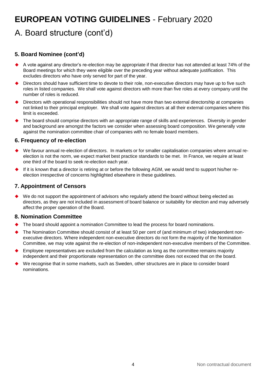# A. Board structure (cont'd)

# **5. Board Nominee (cont'd)**

- A vote against any director's re-election may be appropriate if that director has not attended at least 74% of the Board meetings for which they were eligible over the preceding year without adequate justification. This excludes directors who have only served for part of the year.
- Directors should have sufficient time to devote to their role, non-executive directors may have up to five such roles in listed companies. We shall vote against directors with more than five roles at every company until the number of roles is reduced.
- Directors with operational responsibilities should not have more than two external directorship at companies not linked to their principal employer. We shall vote against directors at all their external companies where this limit is exceeded.
- The board should comprise directors with an appropriate range of skills and experiences. Diversity in gender and background are amongst the factors we consider when assessing board composition. We generally vote against the nomination committee chair of companies with no female board members.

## **6. Frequency of re-election**

- We favour annual re-election of directors. In markets or for smaller capitalisation companies where annual reelection is not the norm, we expect market best practice standards to be met. In France, we require at least one third of the board to seek re-election each year.
- If it is known that a director is retiring at or before the following AGM, we would tend to support his/her reelection irrespective of concerns highlighted elsewhere in these guidelines.

# **7. Appointment of Censors**

 We do not support the appointment of advisors who regularly attend the board without being elected as directors, as they are not included in assessment of board balance or suitability for election and may adversely affect the proper operation of the Board.

## **8. Nomination Committee**

- The board should appoint a nomination Committee to lead the process for board nominations.
- The Nomination Committee should consist of at least 50 per cent of (and minimum of two) independent nonexecutive directors. Where independent non-executive directors do not form the majority of the Nomination Committee, we may vote against the re-election of non-independent non-executive members of the Committee.
- Employee representatives are excluded from the calculation as long as the committee remains majority independent and their proportionate representation on the committee does not exceed that on the board.
- We recognise that in some markets, such as Sweden, other structures are in place to consider board nominations.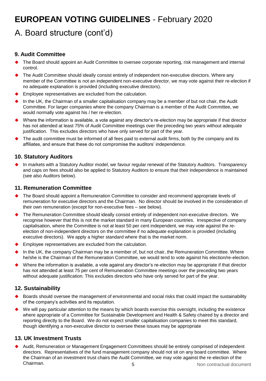# A. Board structure (cont'd)

## **9. Audit Committee**

- The Board should appoint an Audit Committee to oversee corporate reporting, risk management and internal control.
- The Audit Committee should ideally consist entirely of independent non-executive directors. Where any member of the Committee is not an independent non-executive director, we may vote against their re-election if no adequate explanation is provided (including executive directors).
- Employee representatives are excluded from the calculation.
- In the UK, the Chairman of a smaller capitalisation company may be a member of but not chair, the Audit Committee. For larger companies where the company Chairman is a member of the Audit Committee, we would normally vote against his / her re-election.
- Where the information is available, a vote against any director's re-election may be appropriate if that director has not attended at least 75% of Audit Committee meetings over the preceding two years without adequate justification. This excludes directors who have only served for part of the year.
- The audit committee must be informed of all fees paid to external audit firms, both by the company and its affiliates, and ensure that these do not compromise the auditors' independence.

## **10. Statutory Auditors**

 In markets with a Statutory Auditor model, we favour regular renewal of the Statutory Auditors. Transparency and caps on fees should also be applied to Statutory Auditors to ensure that their independence is maintained (see also Auditors below).

## **11. Remuneration Committee**

- The Board should appoint a Remuneration Committee to consider and recommend appropriate levels of remuneration for executive directors and the Chairman. No director should be involved in the consideration of their own remuneration (except for non-executive fees – see below).
- The Remuneration Committee should ideally consist entirely of independent non-executive directors. We recognise however that this is not the market standard in many European countries. Irrespective of company capitalisation, where the Committee is not at least 50 per cent independent, we may vote against the reelection of non-independent directors on the committee if no adequate explanation is provided (including executive directors). We apply a higher standard where that is the market norm.
- Employee representatives are excluded from the calculation.
- In the UK, the company Chairman may be a member of, but not chair, the Remuneration Committee. Where he/she is the Chairman of the Remuneration Committee, we would tend to vote against his election/re-election.
- Where the information is available, a vote against any director's re-election may be appropriate if that director has not attended at least 75 per cent of Remuneration Committee meetings over the preceding two years without adequate justification. This excludes directors who have only served for part of the year.

## **12. Sustainability**

- Boards should oversee the management of environmental and social risks that could impact the sustainability of the company's activities and its reputation.
- We will pay particular attention to the means by which boards exercise this oversight, including the existence where appropriate of a Committee for Sustainable Development and Health & Safety chaired by a director and reporting directly to the Board. We do not expect smaller capitalisation companies to meet this standard, though identifying a non-executive director to oversee these issues may be appropriate

## **13. UK Investment Trusts**

5 Non contractual document Audit, Remuneration or Management Engagement Committees should be entirely comprised of independent directors. Representatives of the fund management company should not sit on any board committee. Where the Chairman of an investment trust chairs the Audit Committee, we may vote against the re-election of the Chairman.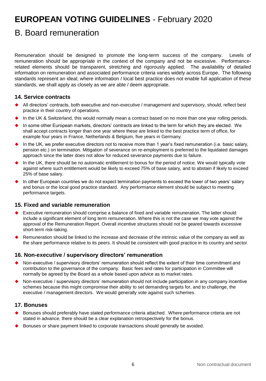# B. Board remuneration

Remuneration should be designed to promote the long-term success of the company. Levels of remuneration should be appropriate in the context of the company and not be excessive. Performancerelated elements should be transparent, stretching and rigorously applied. The availability of detailed information on remuneration and associated performance criteria varies widely across Europe. The following standards represent an ideal; where information / local best practice does not enable full application of these standards, we shall apply as closely as we are able / deem appropriate.

### **14. Service contracts**

- All directors' contracts, both executive and non-executive / management and supervisory, should, reflect best practice in their country of operations.
- In the UK & Switzerland, this would normally mean a contract based on no more than one year rolling periods.
- In some other European markets, directors' contracts are linked to the term for which they are elected. We shall accept contracts longer than one year where these are linked to the best practice term of office, for example four years in France, Netherlands & Belgium, five years in Germany.
- In the UK, we prefer executive directors not to receive more than 1 year's fixed remuneration (i.e. basic salary, pension etc.) on termination. Mitigation of severance on re-employment is preferred to the liquidated damages approach since the latter does not allow for reduced severance payments due to failure.
- In the UK, there should be no automatic entitlement to bonus for the period of notice. We would typically vote against where such entitlement would be likely to exceed 75% of base salary, and to abstain if likely to exceed 25% of base salary.
- In other European countries we do not expect termination payments to exceed the lower of two years' salary and bonus or the local good practice standard. Any performance element should be subject to meeting performance targets.

#### **15. Fixed and variable remuneration**

- Executive remuneration should comprise a balance of fixed and variable remuneration. The latter should include a significant element of long term remuneration. Where this is not the case we may vote against the approval of the Remuneration Report. Overall incentive structures should not be geared towards excessive short-term risk-taking.
- Remuneration should be linked to the increase and decrease of the intrinsic value of the company as well as the share performance relative to its peers. It should be consistent with good practice in its country and sector.

## **16. Non-executive / supervisory directors' remuneration**

- Non-executive / supervisory directors' remuneration should reflect the extent of their time commitment and contribution to the governance of the company. Basic fees and rates for participation in Committee will normally be agreed by the Board as a whole based upon advice as to market rates.
- Non-executive / supervisory directors' remuneration should not include participation in any company incentive schemes because this might compromise their ability to set demanding targets for, and to challenge, the executive / management directors. We would generally vote against such schemes.

#### **17. Bonuses**

- Bonuses should preferably have stated performance criteria attached. Where performance criteria are not stated in advance, there should be a clear explanation retrospectively for the bonus.
- Bonuses or share payment linked to corporate transactions should generally be avoided.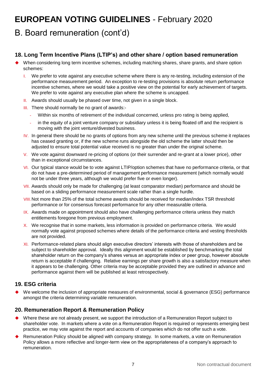# B. Board remuneration (cont'd)

# **18. Long Term Incentive Plans (LTIP's) and other share / option based remuneration**

- When considering long term incentive schemes, including matching shares, share grants, and share option schemes:
	- I. We prefer to vote against any executive scheme where there is any re-testing, including extension of the performance measurement period. An exception to re-testing provisions is absolute return performance incentive schemes, where we would take a positive view on the potential for early achievement of targets. We prefer to vote against any executive plan where the scheme is uncapped.
	- II. Awards should usually be phased over time, not given in a single block.
	- **III.** There should normally be no grant of awards:-
		- Within six months of retirement of the individual concerned, unless pro rating is being applied,
		- in the equity of a joint venture company or subsidiary unless it is being floated off and the recipient is moving with the joint venture/divested business.
	- IV. In general there should be no grants of options from any new scheme until the previous scheme it replaces has ceased granting or, if the new scheme runs alongside the old scheme the latter should then be adjusted to ensure total potential value received is no greater than under the original scheme.
	- V. We vote against downward re-pricing of options (or their surrender and re-grant at a lower price), other than in exceptional circumstances.
	- VI. Our typical stance would be to vote against LTIP/option schemes that have no performance criteria, or that do not have a pre-determined period of management performance measurement (which normally would not be under three years, although we would prefer five or even longer).
	- VII. Awards should only be made for challenging (at least comparator median) performance and should be based on a sliding performance measurement scale rather than a single hurdle.
	- VIII.Not more than 25% of the total scheme awards should be received for median/index TSR threshold performance or for consensus forecast performance for any other measurable criteria.
	- IX. Awards made on appointment should also have challenging performance criteria unless they match entitlements foregone from previous employment.
	- X. We recognise that in some markets, less information is provided on performance criteria. We would normally vote against proposed schemes where details of the performance criteria and vesting thresholds are not provided.
	- XI. Performance-related plans should align executive directors' interests with those of shareholders and be subject to shareholder approval. Ideally this alignment would be established by benchmarking the total shareholder return on the company's shares versus an appropriate index or peer group, however absolute return is acceptable if challenging. Relative earnings per share growth is also a satisfactory measure when it appears to be challenging. Other criteria may be acceptable provided they are outlined in advance and performance against them will be published at least retrospectively.

## **19. ESG criteria**

 We welcome the inclusion of appropriate measures of environmental, social & governance (ESG) performance amongst the criteria determining variable remuneration.

#### **20. Remuneration Report & Remuneration Policy**

- Where these are not already present, we support the introduction of a Remuneration Report subject to shareholder vote. In markets where a vote on a Remuneration Report is required or represents emerging best practice, we may vote against the report and accounts of companies which do not offer such a vote.
- Remuneration Policy should be aligned with company strategy. In some markets, a vote on Remuneration Policy allows a more reflective and longer-term view on the appropriateness of a company's approach to remuneration.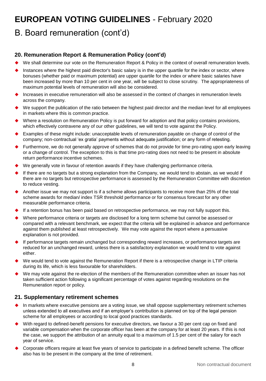# B. Board remuneration (cont'd)

# **20. Remuneration Report & Remuneration Policy (cont'd)**

- We shall determine our vote on the Remuneration Report & Policy in the context of overall remuneration levels.
- Instances where the highest paid director's basic salary is in the upper quartile for the index or sector, where bonuses (whether paid or maximum potential) are upper quartile for the index or where basic salaries have been increased by more than 10 per cent in one year, will be subject to close scrutiny. The appropriateness of maximum potential levels of remuneration will also be considered.
- Increases in executive remuneration will also be assessed in the context of changes in remuneration levels across the company.
- We support the publication of the ratio between the highest paid director and the median level for all employees in markets where this is common practice.
- Where a resolution on Remuneration Policy is put forward for adoption and that policy contains provisions, which effectively contravene any of our other guidelines, we will tend to vote against the Policy.
- Examples of these might include: unacceptable levels of remuneration payable on change of control of the company; non-contractual 'ex gratia' payments without adequate justification; or any form of retesting.
- Furthermore, we do not generally approve of schemes that do not provide for time pro-rating upon early leaving or a change of control. The exception to this is that time pro-rating does not need to be present in absolute return performance incentive schemes.
- We generally vote in favour of retention awards if they have challenging performance criteria.
- If there are no targets but a strong explanation from the Company, we would tend to abstain, as we would if there are no targets but retrospective performance is assessed by the Remuneration Committee with discretion to reduce vesting.
- Another issue we may not support is if a scheme allows participants to receive more than 25% of the total scheme awards for median/ index TSR threshold performance or for consensus forecast for any other measurable performance criteria.
- If a retention bonus has been paid based on retrospective performance, we may not fully support this.
- Where performance criteria or targets are disclosed for a long term scheme but cannot be assessed or compared with a relevant benchmark, we expect that the criteria will be explained in advance and performance against them published at least retrospectively. We may vote against the report where a persuasive explanation is not provided.
- If performance targets remain unchanged but corresponding reward increases, or performance targets are reduced for an unchanged reward, unless there is a satisfactory explanation we would tend to vote against either.
- We would tend to vote against the Remuneration Report if there is a retrospective change in LTIP criteria during its life, which is less favourable for shareholders.
- We may vote against the re-election of the members of the Remuneration committee when an issuer has not taken sufficient action following a significant percentage of votes against regarding resolutions on the Remuneration report or policy.

## **21. Supplementary retirement schemes**

- In markets where executive pensions are a voting issue, we shall oppose supplementary retirement schemes unless extended to all executives and if an employer's contribution is planned on top of the legal pension scheme for all employees or according to local good practices standards.
- With regard to defined-benefit pensions for executive directors, we favour a 30 per cent cap on fixed and variable compensation when the corporate officer has been at the company for at least 20 years. If this is not the case, we support the attribution of an annuity equal to a maximum of 1.5 per cent of the salary for each year of service.
- Corporate officers require at least five years of service to participate in a defined benefit scheme. The officer also has to be present in the company at the time of retirement.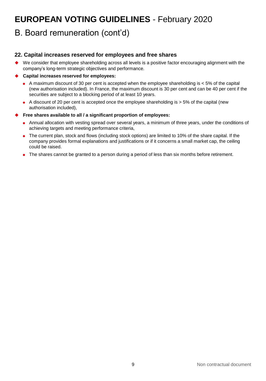# B. Board remuneration (cont'd)

# **22. Capital increases reserved for employees and free shares**

 We consider that employee shareholding across all levels is a positive factor encouraging alignment with the company's long-term strategic objectives and performance.

#### **Capital increases reserved for employees:**

- A maximum discount of 30 per cent is accepted when the employee shareholding is  $<$  5% of the capital (new authorisation included). In France, the maximum discount is 30 per cent and can be 40 per cent if the securities are subject to a blocking period of at least 10 years.
- $\bullet$  A discount of 20 per cent is accepted once the employee shareholding is  $>$  5% of the capital (new authorisation included),

#### **Free shares available to all / a significant proportion of employees:**

- Annual allocation with vesting spread over several years, a minimum of three years, under the conditions of achieving targets and meeting performance criteria,
- The current plan, stock and flows (including stock options) are limited to 10% of the share capital. If the company provides formal explanations and justifications or if it concerns a small market cap, the ceiling could be raised.
- The shares cannot be granted to a person during a period of less than six months before retirement.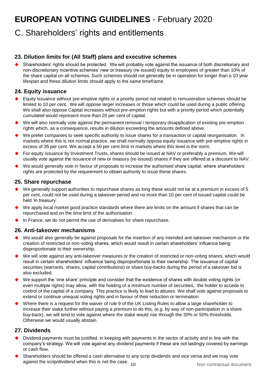# C. Shareholders' rights and entitlements

# **23. Dilution limits for (All Staff) plans and executive schemes**

 Shareholders' rights should be protected. We will probably vote against the issuance of both discretionary and non-discretionary incentive schemes' new or treasury (re-issued) equity to employees of greater than 10% of the share capital on all schemes. Such schemes should not generally be in operation for longer than a 10 year lifespan and these dilution limits should apply to the same timeframe.

# **24. Equity issuance**

- Equity issuance without pre-emptive rights or a priority period not related to remuneration schemes should be limited to 10 per cent. We will oppose larger increases or those which could be used during a public offering. We shall also oppose Capital increases without pre-emption rights but with a priority period which potentially cumulated would represent more than 20 per cent of capital.
- We will also normally vote against the permanent removal / temporary disapplication of existing pre-emption rights which, as a consequence, results in dilution exceeding the amounts defined above.
- We prefer companies to seek specific authority to issue shares for a transaction or capital reorganisation. In markets where this is not normal practice, we shall normally oppose equity issuance with pre-emptive rights in excess of 35 per cent. We accept a 50 per cent limit in markets where this level is the norm.
- For equity issuance by Investment Trusts, shares should be issued at NAV or preferably a premium. We will usually vote against the issuance of new or treasury (re-issued) shares if they are offered at a discount to NAV.
- We would generally vote in favour of proposals to increase the authorised share capital, where shareholders' rights are protected by the requirement to obtain authority to issue these shares.

#### **25. Share repurchase**

- We generally support authorities to repurchase shares as long these would not be at a premium in excess of 5 per cent, could not be used during a takeover period and no more than 10 per cent of issued capital could be held 'in treasury'.
- We apply local market good practice standards where there are limits on the amount if shares that can be repurchased and on the time limit of the authorisation.
- In France, we do not permit the use of derivatives for share repurchase.

## **26. Anti-takeover mechanisms**

- We would also generally be against proposals for the insertion of any intended anti-takeover mechanism or the creation of restricted or non-voting shares, which would result in certain shareholders' influence being disproportionate to their ownership.
- We will vote against any anti-takeover measures or the creation of restricted or non-voting shares, which would result in certain shareholders' influence being disproportionate to their ownership. The issuance of capital securities (warrants, shares, capital contributions) or share buy-backs during the period of a takeover bid is also excluded.
- We support the 'one share' principle and consider that the existence of shares with double voting rights (or even multiple rights) may allow, with the holding of a minimum number of securities, the holder to accede to control of the capital of a company. This practice is likely to lead to abuses. We shall vote against proposals to extend or continue unequal voting rights and in favour of their reduction or termination.
- Where there is a request for the waiver of rule 9 of the UK Listing Rules to allow a large shareholder to increase their stake further without paying a premium to do this, (e.g. by way of non-participation in a share buy-back), we will tend to vote against where the stake would rise through the 30% or 50% thresholds. Otherwise we would usually abstain.

## **27. Dividends**

- Dividend payments must be justified, in keeping with payments in the sector of activity and in line with the company's strategy. We will vote against any dividend payments if these are not lastingly covered by earnings or cash flow.
- against the scrip/dividend when this is not the case. 10 and the state of the Non contractual document Shareholders should be offered a cash alternative to any scrip dividends and vice versa and we may vote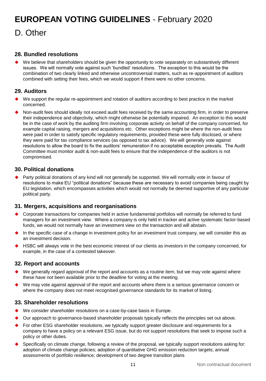D. Other

## **28. Bundled resolutions**

We believe that shareholders should be given the opportunity to vote separately on substantively different issues. We will normally vote against such 'bundled' resolutions. The exception to this would be the combination of two clearly linked and otherwise uncontroversial matters, such as re-appointment of auditors combined with setting their fees, which we would support if there were no other concerns.

# **29. Auditors**

- We support the regular re-appointment and rotation of auditors according to best practice in the market concerned.
- Non-audit fees should ideally not exceed audit fees received by the same accounting firm, in order to preserve their independence and objectivity, which might otherwise be potentially impaired. An exception to this would be in the case of work by the auditing firm involving corporate activity on behalf of the company concerned, for example capital raising, mergers and acquisitions etc. Other exceptions might be where the non-audit fees were paid in order to satisfy specific regulatory requirements, provided these were fully disclosed, or where they were paid for tax compliance services (as opposed to tax advice). We will generally vote against resolutions to allow the board to fix the auditors' remuneration if no acceptable exception prevails. The Audit Committee must monitor audit & non-audit fees to ensure that the independence of the auditors is not compromised.

## **30. Political donations**

 Party political donations of any kind will not generally be supported. We will normally vote in favour of resolutions to make EU "political donations" because these are necessary to avoid companies being caught by EU legislation, which encompasses activities which would not normally be deemed supportive of any particular political party.

## **31. Mergers, acquisitions and reorganisations**

- Corporate transactions for companies held in active fundamental portfolios will normally be referred to fund managers for an investment view. Where a company is only held in tracker and active systematic factor-based funds, we would not normally have an investment view on the transaction and will abstain.
- In the specific case of a change in investment policy for an investment trust company, we will consider this as an investment decision.
- HSBC will always vote in the best economic interest of our clients as investors in the company concerned, for example, in the case of a contested takeover.

## **32. Report and accounts**

- $\blacklozenge$  We generally regard approval of the report and accounts as a routine item, but we may vote against where these have not been available prior to the deadline for voting at the meeting.
- We may vote against approval of the report and accounts where there is a serious governance concern or where the company does not meet recognised governance standards for its market of listing.

## **33. Shareholder resolutions**

- We consider shareholder resolutions on a case-by-case basis in Europe.
- Our approach to governance-based shareholder proposals typically reflects the principles set out above.
- For other ESG shareholder resolutions, we typically support greater disclosure and requirements for a company to have a policy on a relevant ESG issue, but do not support resolutions that seek to impose such a policy or other duties.
- Specifically on climate change, following a review of the proposal, we typically support resolutions asking for: adoption of climate change policies; adoption of quantitative GHG emission reduction targets; annual assessments of portfolio resilience; development of two degree transition plans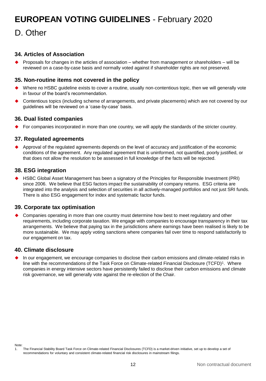# D. Other

## **34. Articles of Association**

 Proposals for changes in the articles of association – whether from management or shareholders – will be reviewed on a case-by-case basis and normally voted against if shareholder rights are not preserved.

### **35. Non-routine items not covered in the policy**

- Where no HSBC guideline exists to cover a routine, usually non-contentious topic, then we will generally vote in favour of the board's recommendation.
- Contentious topics (including scheme of arrangements, and private placements) which are not covered by our guidelines will be reviewed on a 'case-by-case' basis.

### **36. Dual listed companies**

 $\blacklozenge$  For companies incorporated in more than one country, we will apply the standards of the stricter country.

### **37. Regulated agreements**

 Approval of the regulated agreements depends on the level of accuracy and justification of the economic conditions of the agreement. Any regulated agreement that is uninformed, not quantified, poorly justified, or that does not allow the resolution to be assessed in full knowledge of the facts will be rejected.

### **38. ESG integration**

 HSBC Global Asset Management has been a signatory of the Principles for Responsible Investment (PRI) since 2006. We believe that ESG factors impact the sustainability of company returns. ESG criteria are integrated into the analysis and selection of securities in all actively-managed portfolios and not just SRI funds. There is also ESG engagement for index and systematic factor funds.

#### **39. Corporate tax optimisation**

 Companies operating in more than one country must determine how best to meet regulatory and other requirements, including corporate taxation. We engage with companies to encourage transparency in their tax arrangements. We believe that paying tax in the jurisdictions where earnings have been realised is likely to be more sustainable. We may apply voting sanctions where companies fail over time to respond satisfactorily to our engagement on tax.

## **40. Climate disclosure**

In our engagement, we encourage companies to disclose their carbon emissions and climate-related risks in line with the recommendations of the Task Force on Climate-related Financial Disclosure (TCFD)<sup>1</sup>. Where companies in energy intensive sectors have persistently failed to disclose their carbon emissions and climate risk governance, we will generally vote against the re-election of the Chair.

Note:

<sup>1.</sup> The Financial Stability Board Task Force on Climate-related Financial Disclosures (TCFD) is a market-driven initiative, set up to develop a set of recommendations for voluntary and consistent climate-related financial risk disclosures in mainstream filings.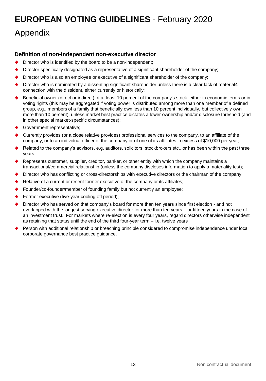# **EUROPEAN VOTING GUIDELINES** - February 2020 Appendix

# **Definition of non-independent non-executive director**

- Director who is identified by the board to be a non-independent;
- Director specifically designated as a representative of a significant shareholder of the company;
- Director who is also an employee or executive of a significant shareholder of the company;
- Director who is nominated by a dissenting significant shareholder unless there is a clear lack of material4 connection with the dissident, either currently or historically;
- Beneficial owner (direct or indirect) of at least 10 percent of the company's stock, either in economic terms or in voting rights (this may be aggregated if voting power is distributed among more than one member of a defined group, e.g., members of a family that beneficially own less than 10 percent individually, but collectively own more than 10 percent), unless market best practice dictates a lower ownership and/or disclosure threshold (and in other special market-specific circumstances);
- Government representative;
- Currently provides (or a close relative provides) professional services to the company, to an affiliate of the company, or to an individual officer of the company or of one of its affiliates in excess of \$10,000 per year;
- Related to the company's advisors, e.g. auditors, solicitors, stockbrokers etc., or has been within the past three years;
- Represents customer, supplier, creditor, banker, or other entity with which the company maintains a transactional/commercial relationship (unless the company discloses information to apply a materiality test);
- Director who has conflicting or cross-directorships with executive directors or the chairman of the company;
- Relative of a current or recent former executive of the company or its affiliates;
- Founder/co-founder/member of founding family but not currently an employee;
- Former executive (five-year cooling off period);
- Director who has served on that company's board for more than ten years since first election and not overlapped with the longest serving executive director for more than ten years – or fifteen years in the case of an investment trust. For markets where re-election is every four years, regard directors otherwise independent as retaining that status until the end of the third four-year term – i.e. twelve years
- Person with additional relationship or breaching principle considered to compromise independence under local corporate governance best practice guidance.